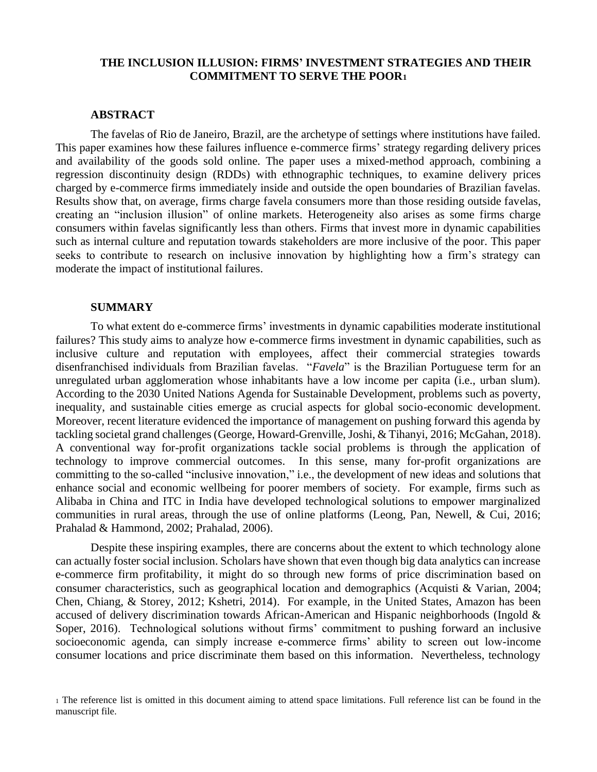## **THE INCLUSION ILLUSION: FIRMS' INVESTMENT STRATEGIES AND THEIR COMMITMENT TO SERVE THE POOR<sup>1</sup>**

## **ABSTRACT**

The favelas of Rio de Janeiro, Brazil, are the archetype of settings where institutions have failed. This paper examines how these failures influence e-commerce firms' strategy regarding delivery prices and availability of the goods sold online. The paper uses a mixed-method approach, combining a regression discontinuity design (RDDs) with ethnographic techniques, to examine delivery prices charged by e-commerce firms immediately inside and outside the open boundaries of Brazilian favelas. Results show that, on average, firms charge favela consumers more than those residing outside favelas, creating an "inclusion illusion" of online markets. Heterogeneity also arises as some firms charge consumers within favelas significantly less than others. Firms that invest more in dynamic capabilities such as internal culture and reputation towards stakeholders are more inclusive of the poor. This paper seeks to contribute to research on inclusive innovation by highlighting how a firm's strategy can moderate the impact of institutional failures.

## **SUMMARY**

To what extent do e-commerce firms' investments in dynamic capabilities moderate institutional failures? This study aims to analyze how e-commerce firms investment in dynamic capabilities, such as inclusive culture and reputation with employees, affect their commercial strategies towards disenfranchised individuals from Brazilian favelas. "*Favela*" is the Brazilian Portuguese term for an unregulated urban agglomeration whose inhabitants have a low income per capita (i.e., urban slum). According to the 2030 United Nations Agenda for Sustainable Development, problems such as poverty, inequality, and sustainable cities emerge as crucial aspects for global socio-economic development. Moreover, recent literature evidenced the importance of management on pushing forward this agenda by tackling societal grand challenges (George, Howard-Grenville, Joshi, & Tihanyi, 2016; McGahan, 2018). A conventional way for-profit organizations tackle social problems is through the application of technology to improve commercial outcomes. In this sense, many for-profit organizations are committing to the so-called "inclusive innovation," i.e., the development of new ideas and solutions that enhance social and economic wellbeing for poorer members of society. For example, firms such as Alibaba in China and ITC in India have developed technological solutions to empower marginalized communities in rural areas, through the use of online platforms (Leong, Pan, Newell, & Cui, 2016; Prahalad & Hammond, 2002; Prahalad, 2006).

Despite these inspiring examples, there are concerns about the extent to which technology alone can actually foster social inclusion. Scholars have shown that even though big data analytics can increase e-commerce firm profitability, it might do so through new forms of price discrimination based on consumer characteristics, such as geographical location and demographics (Acquisti & Varian, 2004; Chen, Chiang, & Storey, 2012; Kshetri, 2014). For example, in the United States, Amazon has been accused of delivery discrimination towards African-American and Hispanic neighborhoods (Ingold & Soper, 2016). Technological solutions without firms' commitment to pushing forward an inclusive socioeconomic agenda, can simply increase e-commerce firms' ability to screen out low-income consumer locations and price discriminate them based on this information. Nevertheless, technology

<sup>1</sup> The reference list is omitted in this document aiming to attend space limitations. Full reference list can be found in the manuscript file.